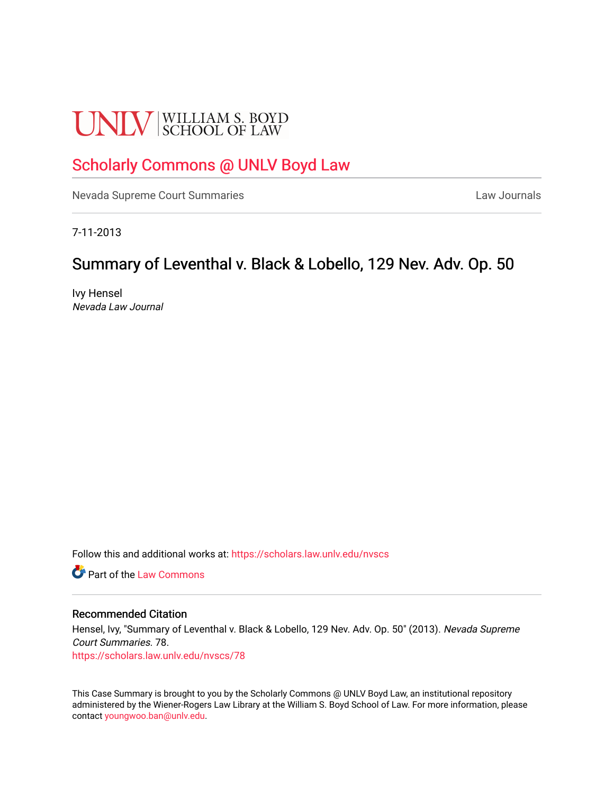# **UNLV** SCHOOL OF LAW

# [Scholarly Commons @ UNLV Boyd Law](https://scholars.law.unlv.edu/)

[Nevada Supreme Court Summaries](https://scholars.law.unlv.edu/nvscs) **Law Journals** Law Journals

7-11-2013

# Summary of Leventhal v. Black & Lobello, 129 Nev. Adv. Op. 50

Ivy Hensel Nevada Law Journal

Follow this and additional works at: [https://scholars.law.unlv.edu/nvscs](https://scholars.law.unlv.edu/nvscs?utm_source=scholars.law.unlv.edu%2Fnvscs%2F78&utm_medium=PDF&utm_campaign=PDFCoverPages)

**C** Part of the [Law Commons](http://network.bepress.com/hgg/discipline/578?utm_source=scholars.law.unlv.edu%2Fnvscs%2F78&utm_medium=PDF&utm_campaign=PDFCoverPages)

#### Recommended Citation

Hensel, Ivy, "Summary of Leventhal v. Black & Lobello, 129 Nev. Adv. Op. 50" (2013). Nevada Supreme Court Summaries. 78. [https://scholars.law.unlv.edu/nvscs/78](https://scholars.law.unlv.edu/nvscs/78?utm_source=scholars.law.unlv.edu%2Fnvscs%2F78&utm_medium=PDF&utm_campaign=PDFCoverPages) 

This Case Summary is brought to you by the Scholarly Commons @ UNLV Boyd Law, an institutional repository administered by the Wiener-Rogers Law Library at the William S. Boyd School of Law. For more information, please contact [youngwoo.ban@unlv.edu](mailto:youngwoo.ban@unlv.edu).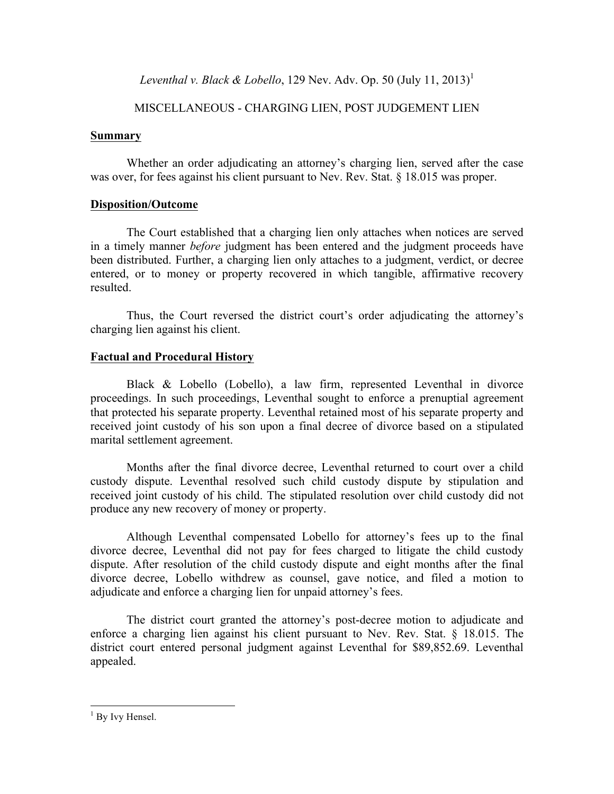*Leventhal v. Black & Lobello*, 129 Nev. Adv. Op. 50 (July 11, 2013)<sup>1</sup>

## MISCELLANEOUS - CHARGING LIEN, POST JUDGEMENT LIEN

#### **Summary**

Whether an order adjudicating an attorney's charging lien, served after the case was over, for fees against his client pursuant to Nev. Rev. Stat. § 18.015 was proper.

## **Disposition/Outcome**

The Court established that a charging lien only attaches when notices are served in a timely manner *before* judgment has been entered and the judgment proceeds have been distributed. Further, a charging lien only attaches to a judgment, verdict, or decree entered, or to money or property recovered in which tangible, affirmative recovery resulted.

Thus, the Court reversed the district court's order adjudicating the attorney's charging lien against his client.

## **Factual and Procedural History**

Black & Lobello (Lobello), a law firm, represented Leventhal in divorce proceedings. In such proceedings, Leventhal sought to enforce a prenuptial agreement that protected his separate property. Leventhal retained most of his separate property and received joint custody of his son upon a final decree of divorce based on a stipulated marital settlement agreement.

Months after the final divorce decree, Leventhal returned to court over a child custody dispute. Leventhal resolved such child custody dispute by stipulation and received joint custody of his child. The stipulated resolution over child custody did not produce any new recovery of money or property.

Although Leventhal compensated Lobello for attorney's fees up to the final divorce decree, Leventhal did not pay for fees charged to litigate the child custody dispute. After resolution of the child custody dispute and eight months after the final divorce decree, Lobello withdrew as counsel, gave notice, and filed a motion to adjudicate and enforce a charging lien for unpaid attorney's fees.

The district court granted the attorney's post-decree motion to adjudicate and enforce a charging lien against his client pursuant to Nev. Rev. Stat. § 18.015. The district court entered personal judgment against Leventhal for \$89,852.69. Leventhal appealed.

 $1$  By Ivy Hensel.